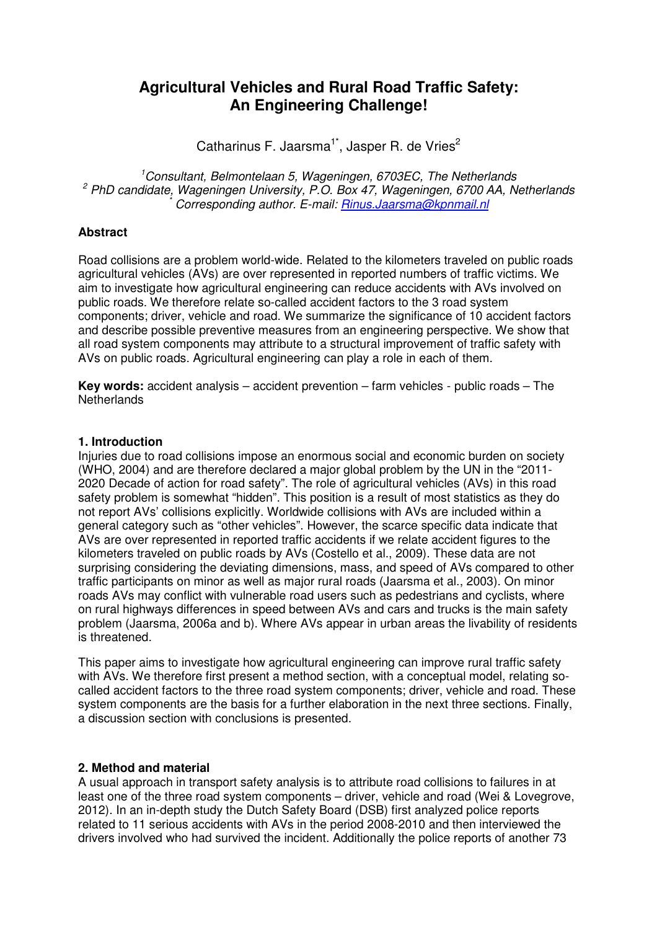# **Agricultural Vehicles and Rural Road Traffic Safety: An Engineering Challenge!**

Catharinus F. Jaarsma<sup>1\*</sup>, Jasper R. de Vries<sup>2</sup>

 $1$ Consultant, Belmontelaan 5, Wageningen, 6703EC, The Netherlands <sup>2</sup> PhD candidate, Wageningen University, P.O. Box 47, Wageningen, 6700 AA, Netherlands \* Corresponding author. E-mail: Rinus.Jaarsma@kpnmail.nl

# **Abstract**

Road collisions are a problem world-wide. Related to the kilometers traveled on public roads agricultural vehicles (AVs) are over represented in reported numbers of traffic victims. We aim to investigate how agricultural engineering can reduce accidents with AVs involved on public roads. We therefore relate so-called accident factors to the 3 road system components; driver, vehicle and road. We summarize the significance of 10 accident factors and describe possible preventive measures from an engineering perspective. We show that all road system components may attribute to a structural improvement of traffic safety with AVs on public roads. Agricultural engineering can play a role in each of them.

**Key words:** accident analysis – accident prevention – farm vehicles - public roads – The **Netherlands** 

# **1. Introduction**

Injuries due to road collisions impose an enormous social and economic burden on society (WHO, 2004) and are therefore declared a major global problem by the UN in the "2011- 2020 Decade of action for road safety". The role of agricultural vehicles (AVs) in this road safety problem is somewhat "hidden". This position is a result of most statistics as they do not report AVs' collisions explicitly. Worldwide collisions with AVs are included within a general category such as "other vehicles". However, the scarce specific data indicate that AVs are over represented in reported traffic accidents if we relate accident figures to the kilometers traveled on public roads by AVs (Costello et al., 2009). These data are not surprising considering the deviating dimensions, mass, and speed of AVs compared to other traffic participants on minor as well as major rural roads (Jaarsma et al., 2003). On minor roads AVs may conflict with vulnerable road users such as pedestrians and cyclists, where on rural highways differences in speed between AVs and cars and trucks is the main safety problem (Jaarsma, 2006a and b). Where AVs appear in urban areas the livability of residents is threatened.

This paper aims to investigate how agricultural engineering can improve rural traffic safety with AVs. We therefore first present a method section, with a conceptual model, relating socalled accident factors to the three road system components; driver, vehicle and road. These system components are the basis for a further elaboration in the next three sections. Finally, a discussion section with conclusions is presented.

# **2. Method and material**

A usual approach in transport safety analysis is to attribute road collisions to failures in at least one of the three road system components – driver, vehicle and road (Wei & Lovegrove, 2012). In an in-depth study the Dutch Safety Board (DSB) first analyzed police reports related to 11 serious accidents with AVs in the period 2008-2010 and then interviewed the drivers involved who had survived the incident. Additionally the police reports of another 73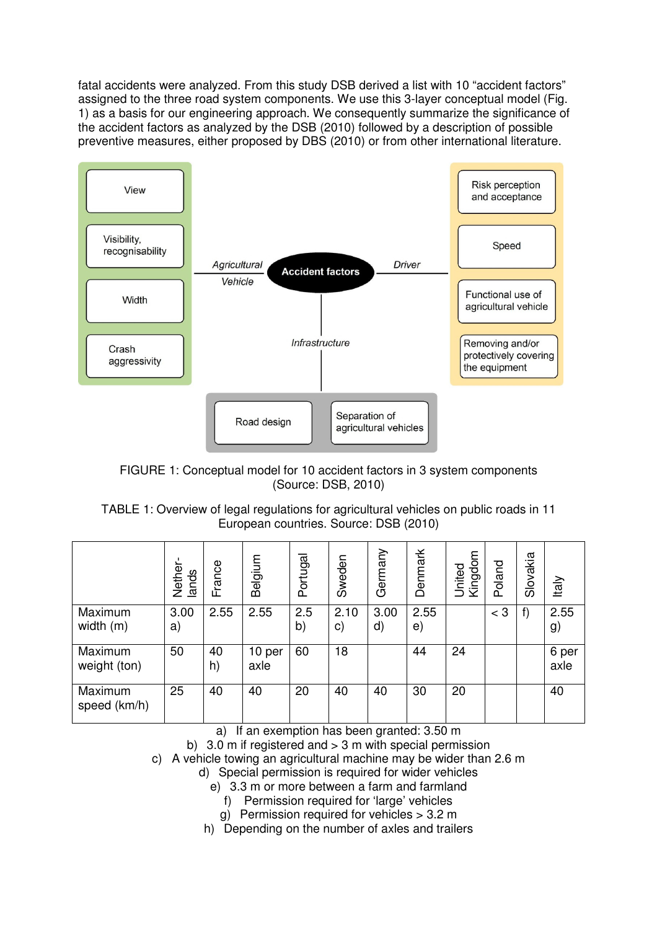fatal accidents were analyzed. From this study DSB derived a list with 10 "accident factors" assigned to the three road system components. We use this 3-layer conceptual model (Fig. 1) as a basis for our engineering approach. We consequently summarize the significance of the accident factors as analyzed by the DSB (2010) followed by a description of possible preventive measures, either proposed by DBS (2010) or from other international literature.



FIGURE 1: Conceptual model for 10 accident factors in 3 system components (Source: DSB, 2010)

# TABLE 1: Overview of legal regulations for agricultural vehicles on public roads in 11 European countries. Source: DSB (2010)

|                         | Nether<br>lands | rance<br>Щ | Belgium        | Portugal  | Sweden     | Germany    | Denmark    | United<br>Kingdom | Poland | Slovakia | Italy         |
|-------------------------|-----------------|------------|----------------|-----------|------------|------------|------------|-------------------|--------|----------|---------------|
| Maximum<br>width (m)    | 3.00<br>a)      | 2.55       | 2.55           | 2.5<br>b) | 2.10<br>c) | 3.00<br>d) | 2.55<br>e) |                   | $<$ 3  | f)       | 2.55<br>g)    |
| Maximum<br>weight (ton) | 50              | 40<br>h)   | 10 per<br>axle | 60        | 18         |            | 44         | 24                |        |          | 6 per<br>axle |
| Maximum<br>speed (km/h) | 25              | 40         | 40             | 20        | 40         | 40         | 30         | 20                |        |          | 40            |

a) If an exemption has been granted: 3.50 m

b)  $3.0 \text{ m}$  if registered and  $> 3 \text{ m}$  with special permission

c) A vehicle towing an agricultural machine may be wider than 2.6 m

d) Special permission is required for wider vehicles

e) 3.3 m or more between a farm and farmland

- f) Permission required for 'large' vehicles
- g) Permission required for vehicles > 3.2 m

h) Depending on the number of axles and trailers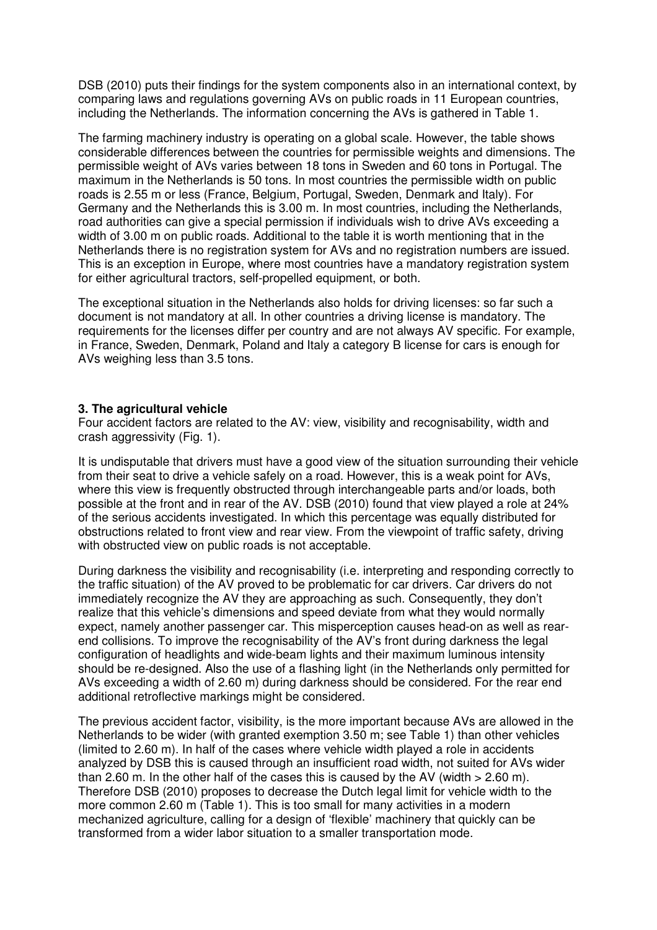DSB (2010) puts their findings for the system components also in an international context, by comparing laws and regulations governing AVs on public roads in 11 European countries, including the Netherlands. The information concerning the AVs is gathered in Table 1.

The farming machinery industry is operating on a global scale. However, the table shows considerable differences between the countries for permissible weights and dimensions. The permissible weight of AVs varies between 18 tons in Sweden and 60 tons in Portugal. The maximum in the Netherlands is 50 tons. In most countries the permissible width on public roads is 2.55 m or less (France, Belgium, Portugal, Sweden, Denmark and Italy). For Germany and the Netherlands this is 3.00 m. In most countries, including the Netherlands, road authorities can give a special permission if individuals wish to drive AVs exceeding a width of 3.00 m on public roads. Additional to the table it is worth mentioning that in the Netherlands there is no registration system for AVs and no registration numbers are issued. This is an exception in Europe, where most countries have a mandatory registration system for either agricultural tractors, self-propelled equipment, or both.

The exceptional situation in the Netherlands also holds for driving licenses: so far such a document is not mandatory at all. In other countries a driving license is mandatory. The requirements for the licenses differ per country and are not always AV specific. For example, in France, Sweden, Denmark, Poland and Italy a category B license for cars is enough for AVs weighing less than 3.5 tons.

#### **3. The agricultural vehicle**

Four accident factors are related to the AV: view, visibility and recognisability, width and crash aggressivity (Fig. 1).

It is undisputable that drivers must have a good view of the situation surrounding their vehicle from their seat to drive a vehicle safely on a road. However, this is a weak point for AVs, where this view is frequently obstructed through interchangeable parts and/or loads, both possible at the front and in rear of the AV. DSB (2010) found that view played a role at 24% of the serious accidents investigated. In which this percentage was equally distributed for obstructions related to front view and rear view. From the viewpoint of traffic safety, driving with obstructed view on public roads is not acceptable.

During darkness the visibility and recognisability (i.e. interpreting and responding correctly to the traffic situation) of the AV proved to be problematic for car drivers. Car drivers do not immediately recognize the AV they are approaching as such. Consequently, they don't realize that this vehicle's dimensions and speed deviate from what they would normally expect, namely another passenger car. This misperception causes head-on as well as rearend collisions. To improve the recognisability of the AV's front during darkness the legal configuration of headlights and wide-beam lights and their maximum luminous intensity should be re-designed. Also the use of a flashing light (in the Netherlands only permitted for AVs exceeding a width of 2.60 m) during darkness should be considered. For the rear end additional retroflective markings might be considered.

The previous accident factor, visibility, is the more important because AVs are allowed in the Netherlands to be wider (with granted exemption 3.50 m; see Table 1) than other vehicles (limited to 2.60 m). In half of the cases where vehicle width played a role in accidents analyzed by DSB this is caused through an insufficient road width, not suited for AVs wider than 2.60 m. In the other half of the cases this is caused by the AV (width  $> 2.60$  m). Therefore DSB (2010) proposes to decrease the Dutch legal limit for vehicle width to the more common 2.60 m (Table 1). This is too small for many activities in a modern mechanized agriculture, calling for a design of 'flexible' machinery that quickly can be transformed from a wider labor situation to a smaller transportation mode.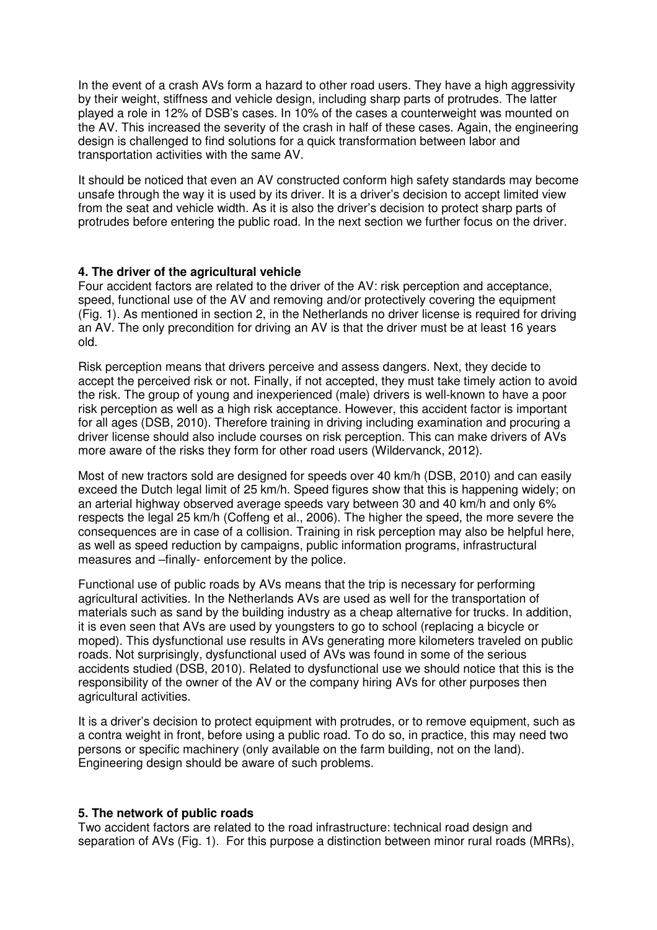In the event of a crash AVs form a hazard to other road users. They have a high aggressivity by their weight, stiffness and vehicle design, including sharp parts of protrudes. The latter played a role in 12% of DSB's cases. In 10% of the cases a counterweight was mounted on the AV. This increased the severity of the crash in half of these cases. Again, the engineering design is challenged to find solutions for a quick transformation between labor and transportation activities with the same AV.

It should be noticed that even an AV constructed conform high safety standards may become unsafe through the way it is used by its driver. It is a driver's decision to accept limited view from the seat and vehicle width. As it is also the driver's decision to protect sharp parts of protrudes before entering the public road. In the next section we further focus on the driver.

# **4. The driver of the agricultural vehicle**

Four accident factors are related to the driver of the AV: risk perception and acceptance, speed, functional use of the AV and removing and/or protectively covering the equipment (Fig. 1). As mentioned in section 2, in the Netherlands no driver license is required for driving an AV. The only precondition for driving an AV is that the driver must be at least 16 years old.

Risk perception means that drivers perceive and assess dangers. Next, they decide to accept the perceived risk or not. Finally, if not accepted, they must take timely action to avoid the risk. The group of young and inexperienced (male) drivers is well-known to have a poor risk perception as well as a high risk acceptance. However, this accident factor is important for all ages (DSB, 2010). Therefore training in driving including examination and procuring a driver license should also include courses on risk perception. This can make drivers of AVs more aware of the risks they form for other road users (Wildervanck, 2012).

Most of new tractors sold are designed for speeds over 40 km/h (DSB, 2010) and can easily exceed the Dutch legal limit of 25 km/h. Speed figures show that this is happening widely; on an arterial highway observed average speeds vary between 30 and 40 km/h and only 6% respects the legal 25 km/h (Coffeng et al., 2006). The higher the speed, the more severe the consequences are in case of a collision. Training in risk perception may also be helpful here, as well as speed reduction by campaigns, public information programs, infrastructural measures and –finally- enforcement by the police.

Functional use of public roads by AVs means that the trip is necessary for performing agricultural activities. In the Netherlands AVs are used as well for the transportation of materials such as sand by the building industry as a cheap alternative for trucks. In addition, it is even seen that AVs are used by youngsters to go to school (replacing a bicycle or moped). This dysfunctional use results in AVs generating more kilometers traveled on public roads. Not surprisingly, dysfunctional used of AVs was found in some of the serious accidents studied (DSB, 2010). Related to dysfunctional use we should notice that this is the responsibility of the owner of the AV or the company hiring AVs for other purposes then agricultural activities.

It is a driver's decision to protect equipment with protrudes, or to remove equipment, such as a contra weight in front, before using a public road. To do so, in practice, this may need two persons or specific machinery (only available on the farm building, not on the land). Engineering design should be aware of such problems.

# **5. The network of public roads**

Two accident factors are related to the road infrastructure: technical road design and separation of AVs (Fig. 1). For this purpose a distinction between minor rural roads (MRRs),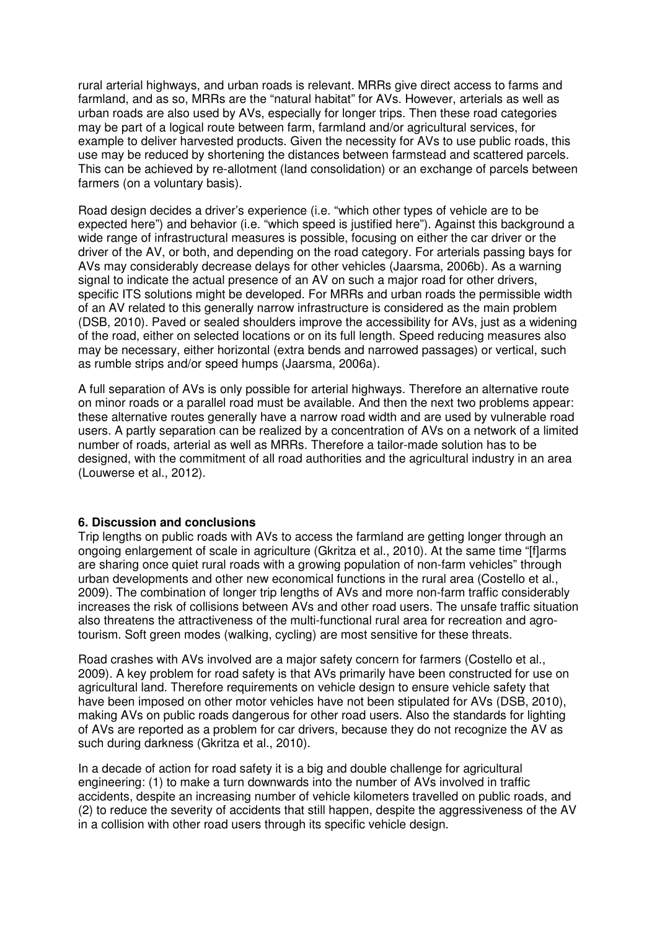rural arterial highways, and urban roads is relevant. MRRs give direct access to farms and farmland, and as so, MRRs are the "natural habitat" for AVs. However, arterials as well as urban roads are also used by AVs, especially for longer trips. Then these road categories may be part of a logical route between farm, farmland and/or agricultural services, for example to deliver harvested products. Given the necessity for AVs to use public roads, this use may be reduced by shortening the distances between farmstead and scattered parcels. This can be achieved by re-allotment (land consolidation) or an exchange of parcels between farmers (on a voluntary basis).

Road design decides a driver's experience (i.e. "which other types of vehicle are to be expected here") and behavior (i.e. "which speed is justified here"). Against this background a wide range of infrastructural measures is possible, focusing on either the car driver or the driver of the AV, or both, and depending on the road category. For arterials passing bays for AVs may considerably decrease delays for other vehicles (Jaarsma, 2006b). As a warning signal to indicate the actual presence of an AV on such a major road for other drivers, specific ITS solutions might be developed. For MRRs and urban roads the permissible width of an AV related to this generally narrow infrastructure is considered as the main problem (DSB, 2010). Paved or sealed shoulders improve the accessibility for AVs, just as a widening of the road, either on selected locations or on its full length. Speed reducing measures also may be necessary, either horizontal (extra bends and narrowed passages) or vertical, such as rumble strips and/or speed humps (Jaarsma, 2006a).

A full separation of AVs is only possible for arterial highways. Therefore an alternative route on minor roads or a parallel road must be available. And then the next two problems appear: these alternative routes generally have a narrow road width and are used by vulnerable road users. A partly separation can be realized by a concentration of AVs on a network of a limited number of roads, arterial as well as MRRs. Therefore a tailor-made solution has to be designed, with the commitment of all road authorities and the agricultural industry in an area (Louwerse et al., 2012).

# **6. Discussion and conclusions**

Trip lengths on public roads with AVs to access the farmland are getting longer through an ongoing enlargement of scale in agriculture (Gkritza et al., 2010). At the same time "[f]arms are sharing once quiet rural roads with a growing population of non-farm vehicles" through urban developments and other new economical functions in the rural area (Costello et al., 2009). The combination of longer trip lengths of AVs and more non-farm traffic considerably increases the risk of collisions between AVs and other road users. The unsafe traffic situation also threatens the attractiveness of the multi-functional rural area for recreation and agrotourism. Soft green modes (walking, cycling) are most sensitive for these threats.

Road crashes with AVs involved are a major safety concern for farmers (Costello et al., 2009). A key problem for road safety is that AVs primarily have been constructed for use on agricultural land. Therefore requirements on vehicle design to ensure vehicle safety that have been imposed on other motor vehicles have not been stipulated for AVs (DSB, 2010), making AVs on public roads dangerous for other road users. Also the standards for lighting of AVs are reported as a problem for car drivers, because they do not recognize the AV as such during darkness (Gkritza et al., 2010).

In a decade of action for road safety it is a big and double challenge for agricultural engineering: (1) to make a turn downwards into the number of AVs involved in traffic accidents, despite an increasing number of vehicle kilometers travelled on public roads, and (2) to reduce the severity of accidents that still happen, despite the aggressiveness of the AV in a collision with other road users through its specific vehicle design.